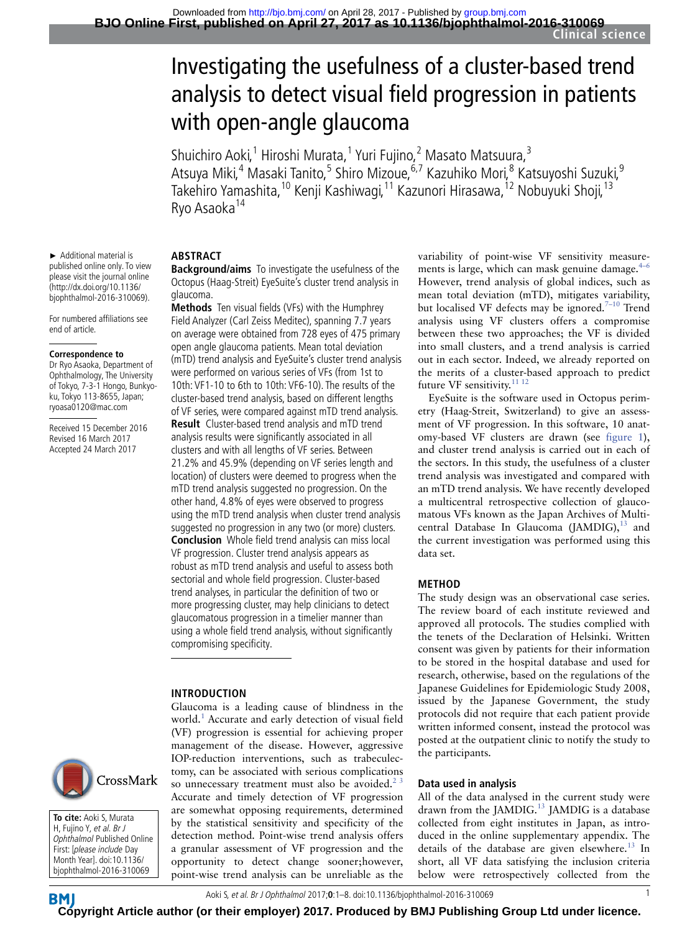# Investigating the usefulness of a cluster-based trend analysis to detect visual field progression in patients with open-angle glaucoma

Shuichiro Aoki,<sup>1</sup> Hiroshi Murata,<sup>1</sup> Yuri Fujino,<sup>2</sup> Masato Matsuura,<sup>3</sup> Atsuya Miki,<sup>4</sup> Masaki Tanito,<sup>5</sup> Shiro Mizoue,<sup>6,7</sup> Kazuhiko Mori,<sup>8</sup> Katsuyoshi Suzuki,<sup>9</sup> Takehiro Yamashita,<sup>10</sup> Kenji Kashiwagi,<sup>11</sup> Kazunori Hirasawa,<sup>12</sup> Nobuyuki Shoji,<sup>13</sup> Ryo Asaoka<sup>14</sup>

### **ABSTRACT**

► Additional material is published online only. To view please visit the journal online (http://dx.doi.org/10.1136/ bjophthalmol-2016-310069). For numbered affiliations see

end of article.

**Correspondence to** Dr Ryo Asaoka, Department of Ophthalmology, The University of Tokyo, 7-3-1 Hongo, Bunkyoku, Tokyo 113-8655, Japan; ryoasa0120@mac.com Received 15 December 2016 Revised 16 March 2017 Accepted 24 March 2017

**Background/aims** To investigate the usefulness of the Octopus (Haag-Streit) EyeSuite's cluster trend analysis in glaucoma.

**Methods** Ten visual fields (VFs) with the Humphrey Field Analyzer (Carl Zeiss Meditec), spanning 7.7 years on average were obtained from 728 eyes of 475 primary open angle glaucoma patients. Mean total deviation (mTD) trend analysis and EyeSuite's cluster trend analysis were performed on various series of VFs (from 1st to 10th: VF1-10 to 6th to 10th: VF6-10). The results of the cluster-based trend analysis, based on different lengths of VF series, were compared against mTD trend analysis. **Result** Cluster-based trend analysis and mTD trend analysis results were significantly associated in all clusters and with all lengths of VF series. Between 21.2% and 45.9% (depending on VF series length and location) of clusters were deemed to progress when the mTD trend analysis suggested no progression. On the other hand, 4.8% of eyes were observed to progress using the mTD trend analysis when cluster trend analysis suggested no progression in any two (or more) clusters. **Conclusion** Whole field trend analysis can miss local VF progression. Cluster trend analysis appears as robust as mTD trend analysis and useful to assess both sectorial and whole field progression. Cluster-based trend analyses, in particular the definition of two or more progressing cluster, may help clinicians to detect glaucomatous progression in a timelier manner than

using a whole field trend analysis, without significantly compromising specificity.

#### **INTRODUCTION**

Glaucoma is a leading cause of blindness in the world.<sup>[1](#page-6-0)</sup> Accurate and early detection of visual field (VF) progression is essential for achieving proper management of the disease. However, aggressive IOP-reduction interventions, such as trabeculectomy, can be associated with serious complications so unnecessary treatment must also be avoided.<sup>23</sup> Accurate and timely detection of VF progression are somewhat opposing requirements, determined by the statistical sensitivity and specificity of the detection method. Point-wise trend analysis offers a granular assessment of VF progression and the opportunity to detect change sooner;however, point-wise trend analysis can be unreliable as the

variability of point-wise VF sensitivity measurements is large, which can mask genuine damage. $4-6$ However, trend analysis of global indices, such as mean total deviation (mTD), mitigates variability, but localised VF defects may be ignored.<sup>7-10</sup> Trend analysis using VF clusters offers a compromise between these two approaches; the VF is divided into small clusters, and a trend analysis is carried out in each sector. Indeed, we already reported on the merits of a cluster-based approach to predict future VF sensitivity.<sup>11 12</sup>

EyeSuite is the software used in Octopus perimetry (Haag-Streit, Switzerland) to give an assessment of VF progression. In this software, 10 anatomy-based VF clusters are drawn (see [figure](#page-1-0) 1), and cluster trend analysis is carried out in each of the sectors. In this study, the usefulness of a cluster trend analysis was investigated and compared with an mTD trend analysis. We have recently developed a multicentral retrospective collection of glaucomatous VFs known as the Japan Archives of Multicentral Database In Glaucoma (JAMDIG),<sup>13</sup> and the current investigation was performed using this data set.

#### **METHOD**

The study design was an observational case series. The review board of each institute reviewed and approved all protocols. The studies complied with the tenets of the Declaration of Helsinki. Written consent was given by patients for their information to be stored in the hospital database and used for research, otherwise, based on the regulations of the Japanese Guidelines for Epidemiologic Study 2008, issued by the Japanese Government, the study protocols did not require that each patient provide written informed consent, instead the protocol was posted at the outpatient clinic to notify the study to the participants.

#### **Data used in analysis**

All of the data analysed in the current study were drawn from the JAMDIG.<sup>[13](#page-7-1)</sup> JAMDIG is a database collected from eight institutes in Japan, as introduced in the online supplementary appendix. The details of the database are given elsewhere.<sup>13</sup> In short, all VF data satisfying the inclusion criteria below were retrospectively collected from the



**To cite:** Aoki S, Murata H, Fujino Y, et al. Br J Ophthalmol Published Online First: [please include Day Month Year]. doi:10.1136/ bjophthalmol-2016-310069

**BM [Cop](http://bjo.bmj.com/)yright Article author (or their employer) 2017. Produced by BMJ Publishing Group Ltd under licence.**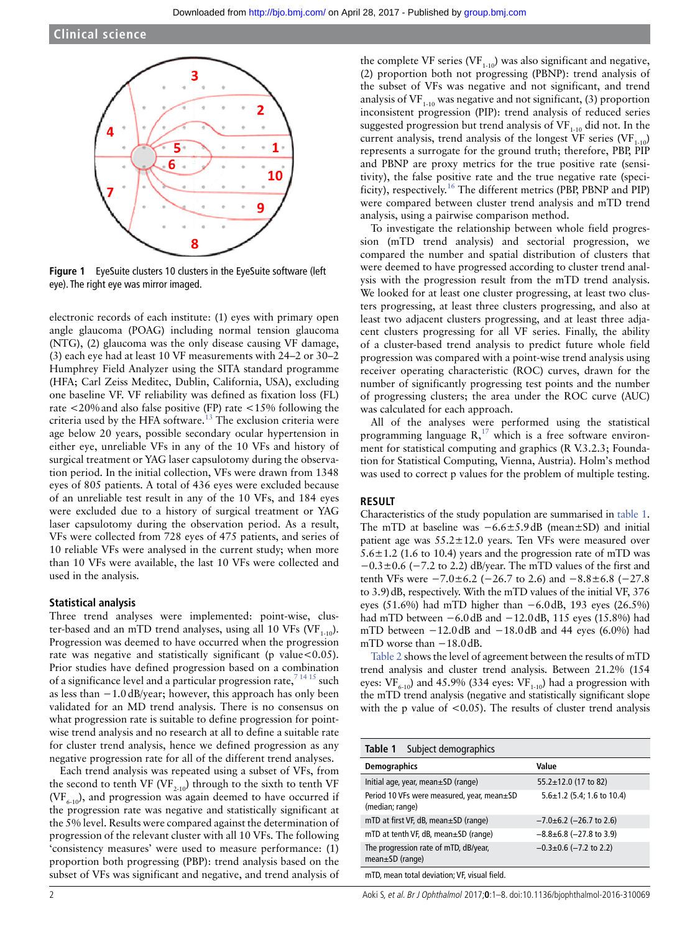

<span id="page-1-0"></span>**Figure 1** EyeSuite clusters 10 clusters in the EyeSuite software (left eye). The right eye was mirror imaged.

electronic records of each institute: (1) eyes with primary open angle glaucoma (POAG) including normal tension glaucoma (NTG), (2) glaucoma was the only disease causing VF damage, (3) each eye had at least 10 VF measurements with 24–2 or 30–2 Humphrey Field Analyzer using the SITA standard programme (HFA; Carl Zeiss Meditec, Dublin, California, USA), excluding one baseline VF. VF reliability was defined as fixation loss (FL) rate <20%and also false positive (FP) rate <15% following the criteria used by the HFA software. $13$  The exclusion criteria were age below 20 years, possible secondary ocular hypertension in either eye, unreliable VFs in any of the 10 VFs and history of surgical treatment or YAG laser capsulotomy during the observation period. In the initial collection, VFs were drawn from 1348 eyes of 805 patients. A total of 436 eyes were excluded because of an unreliable test result in any of the 10 VFs, and 184 eyes were excluded due to a history of surgical treatment or YAG laser capsulotomy during the observation period. As a result, VFs were collected from 728 eyes of 475 patients, and series of 10 reliable VFs were analysed in the current study; when more than 10 VFs were available, the last 10 VFs were collected and used in the analysis.

#### **Statistical analysis**

Three trend analyses were implemented: point-wise, cluster-based and an mTD trend analyses, using all 10 VFs (VF<sub>1-10</sub>). Progression was deemed to have occurred when the progression rate was negative and statistically significant (p value  $< 0.05$ ). Prior studies have defined progression based on a combination of a significance level and a particular progression rate,  $71415$  such as less than −1.0dB/year; however, this approach has only been validated for an MD trend analysis. There is no consensus on what progression rate is suitable to define progression for pointwise trend analysis and no research at all to define a suitable rate for cluster trend analysis, hence we defined progression as any negative progression rate for all of the different trend analyses.

Each trend analysis was repeated using a subset of VFs, from the second to tenth VF (VF<sub>2-10</sub>) through to the sixth to tenth VF  $(VF<sub>6-10</sub>)$ , and progression was again deemed to have occurred if the progression rate was negative and statistically significant at the 5% level. Results were compared against the determination of progression of the relevant cluster with all 10 VFs. The following 'consistency measures' were used to measure performance: (1) proportion both progressing (PBP): trend analysis based on the subset of VFs was significant and negative, and trend analysis of

the complete VF series (VF $_{1-10}$ ) was also significant and negative, (2) proportion both not progressing (PBNP): trend analysis of the subset of VFs was negative and not significant, and trend analysis of VF $_{1,10}$  was negative and not significant, (3) proportion inconsistent progression (PIP): trend analysis of reduced series suggested progression but trend analysis of  $VF_{1-10}$  did not. In the current analysis, trend analysis of the longest  $\overline{\text{VF}}$  series (VF<sub>1-10</sub>) represents a surrogate for the ground truth; therefore, PBP, PIP and PBNP are proxy metrics for the true positive rate (sensitivity), the false positive rate and the true negative rate (speci-ficity), respectively.<sup>[16](#page-7-2)</sup> The different metrics (PBP, PBNP and PIP) were compared between cluster trend analysis and mTD trend analysis, using a pairwise comparison method.

To investigate the relationship between whole field progression (mTD trend analysis) and sectorial progression, we compared the number and spatial distribution of clusters that were deemed to have progressed according to cluster trend analysis with the progression result from the mTD trend analysis. We looked for at least one cluster progressing, at least two clusters progressing, at least three clusters progressing, and also at least two adjacent clusters progressing, and at least three adjacent clusters progressing for all VF series. Finally, the ability of a cluster-based trend analysis to predict future whole field progression was compared with a point-wise trend analysis using receiver operating characteristic (ROC) curves, drawn for the number of significantly progressing test points and the number of progressing clusters; the area under the ROC curve (AUC) was calculated for each approach.

All of the analyses were performed using the statistical programming language  $R$ ,<sup>[17](#page-7-3)</sup> which is a free software environment for statistical computing and graphics (R V.3.2.3; Foundation for Statistical Computing, Vienna, Austria). Holm's method was used to correct p values for the problem of multiple testing.

#### **RESULT**

Characteristics of the study population are summarised in [table](#page-1-1) 1. The mTD at baseline was −6.6±5.9dB (mean±SD) and initial patient age was 55.2±12.0 years. Ten VFs were measured over  $5.6 \pm 1.2$  (1.6 to 10.4) years and the progression rate of mTD was  $-0.3\pm0.6$  (-7.2 to 2.2) dB/year. The mTD values of the first and tenth VFs were −7.0±6.2 (−26.7 to 2.6) and −8.8±6.8 (−27.8 to 3.9)dB, respectively. With the mTD values of the initial VF, 376 eyes (51.6%) had mTD higher than −6.0dB, 193 eyes (26.5%) had mTD between −6.0dB and −12.0dB, 115 eyes (15.8%) had mTD between  $-12.0$ dB and  $-18.0$ dB and 44 eyes (6.0%) had mTD worse than −18.0dB.

[Table](#page-2-0) 2 shows the level of agreement between the results of mTD trend analysis and cluster trend analysis. Between 21.2% (154 eyes:  $VF_{6-10}$ ) and 45.9% (334 eyes:  $VF_{1-10}$ ) had a progression with the mTD trend analysis (negative and statistically significant slope with the p value of  $<$  0.05). The results of cluster trend analysis

<span id="page-1-1"></span>

| Table 1<br>Subject demographics                                |                                  |
|----------------------------------------------------------------|----------------------------------|
| <b>Demographics</b>                                            | Value                            |
| Initial age, year, mean $\pm$ SD (range)                       | $55.2 \pm 12.0$ (17 to 82)       |
| Period 10 VFs were measured, year, mean±SD<br>(median; range)  | $5.6 \pm 1.2$ (5.4; 1.6 to 10.4) |
| mTD at first VF, dB, mean±SD (range)                           | $-7.0\pm6.2$ (-26.7 to 2.6)      |
| mTD at tenth VF, dB, mean±SD (range)                           | $-8.8\pm6.8$ (-27.8 to 3.9)      |
| The progression rate of mTD, dB/year,<br>$mean \pm SD$ (range) | $-0.3 \pm 0.6$ (-7.2 to 2.2)     |
| mTD, mean total deviation; VF, visual field.                   |                                  |

2 Aoki S, et al. Br J Ophthalmol 2017;**0**:1–8. doi:10.1136/bjophthalmol-2016-310069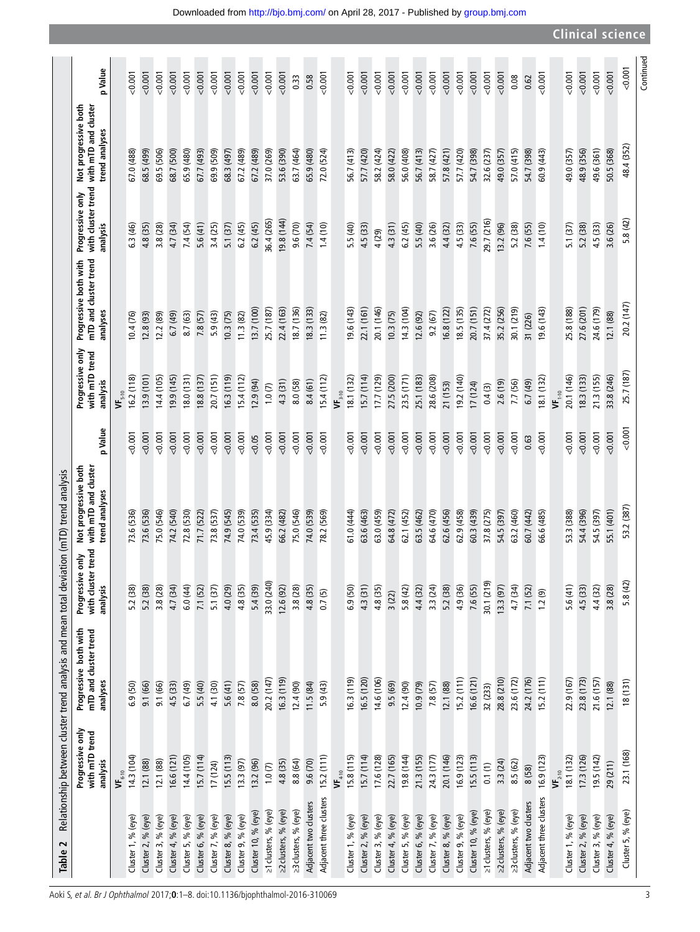<span id="page-2-0"></span>

| 48.4 (352)<br>49.6 (361)<br>69.5 (506)<br>69.9 (509)<br>68.3 (497)<br>37.0 (269)<br>58.7 (427)<br>57.8 (421)<br>57.7 (420)<br>54.7 (398)<br>32.6 (237)<br>57.0 (415)<br>49.0 (357)<br>48.9 (356)<br>50.5 (368)<br>67.0 (488)<br>68.5 (499)<br>68.7 (500)<br>65.9 (480)<br>67.7 (493)<br>67.2 (489)<br>67.2 (489)<br>53.6 (390)<br>63.7 (464)<br>65.9 (480)<br>56.7 (413)<br>57.7 (420)<br>58.2 (424)<br>58.0 (422)<br>56.0 (408)<br>56.7 (413)<br>49.0 (357)<br>54.7 (398)<br>72.0 (524)<br>60.9 (443)<br>5.8(42)<br>36.4 (265)<br>19.8 (144)<br>29.7 (216)<br>5.6(41)<br>6.2(45)<br>9.6 (70)<br>7.4 (54)<br>3.8 (28)<br>7.4 (54)<br>3.4(25)<br>5.1(37)<br>6.2(45)<br>6.2(45)<br>5.5 (40)<br>3.6 (26)<br>4.4 (32)<br>4.5 (33)<br>7.6 (55)<br>13.2(96)<br>5.2 (38)<br>7.6 (55)<br>5.2 (38)<br>4.5 (33)<br>3.6 (26)<br>6.3 (46)<br>4.8 (35)<br>4.7 (34)<br>1.4(10)<br>5.5 (40)<br>4.3 (31)<br>1.4(10)<br>5.1 (37)<br>4.5 (33)<br>4 (29)<br>20.2 (147)<br>22.1 (161)<br>20.7 (151)<br>27.6 (201)<br>24.6 (179)<br>13.7 (100)<br>22.4 (163)<br>18.7 (136)<br>18.3(133)<br>19.6 (143)<br>18.5(135)<br>37.4 (272)<br>35.2 (256)<br>30.1 (219)<br>25.8 (188)<br>25.7 (187)<br>20.1 (146)<br>6.8(122)<br>19.6 (143)<br>14.3(104)<br>10.3(75)<br>9.2(67)<br>5.9(43)<br>10.3(75)<br>11.3(82)<br>12.6 (92)<br>12.1 (88)<br>8.7 (63)<br>7.8(57)<br>12.8(93)<br>12.2 (89)<br>6.7(49)<br>10.4 (76)<br>11.3(82)<br>31 (226)<br>25.7 (187)<br>18.3(133)<br>21.3(155)<br>16.2(118)<br>13.9(101)<br>(145)<br>18.8(137)<br>20.7 (151)<br>15.7(114)<br>17.7 (129)<br>27.5 (200)<br>23.5 (171)<br>33.8 (246)<br>14.4 (105)<br>8.0 (131)<br>16.3(119)<br>15.4(112)<br>25.1 (183)<br>28.6 (208)<br>19.2 (140)<br>20.1 (146)<br>15.4(112)<br>18.1 (132)<br>18.1 (132)<br>8.4(61)<br>12.9(94)<br>6.7(49)<br>4.3 (31)<br>8.0 (58)<br>2.6(19)<br>7.7 (56)<br>21 (153)<br>17(124)<br>1.0(7)<br>0.4(3)<br>$\mathsf{VF}_{3:10}$<br>$\mathbf{VF}_{1\text{-}10}$<br>$\mathbf{VF}_{5\text{-}10}$<br>0.001<br>0.001<br>0.001<br>0.001<br>0.001<br>0.001<br>0.001<br>0.001<br>0.001<br>0.001<br>0.001<br>0.001<br>0.001<br>0.001<br>0.001<br>0.001<br>0.001<br>0.001<br>0.001<br>0.001<br>0.001<br>0.001<br>0.001<br>0.001<br>0.001<br>0.001<br>0.001<br>0.001<br>0.001<br>0.001<br>0.001<br>0.001<br>0.001<br>0.05<br>0.63<br>53.2 (387)<br>55.1 (401)<br>73.6 (536)<br>74.2 (540)<br>73.8 (537)<br>74.9 (545)<br>74.0 (539)<br>73.4 (535)<br>75.0 (546)<br>74.0 (539)<br>64.6 (470)<br>62.9(458)<br>60.3 (439)<br>37.8 (275)<br>54.5 (397)<br>63.2 (460)<br>60.7 (442)<br>53.3 (388)<br>54.4 (396)<br>54.5 (397)<br>73.6 (536)<br>75.0 (546)<br>72.8 (530)<br>71.7 (522)<br>45.9 (334)<br>66.2 (482)<br>61.0 (444)<br>64.8 (472)<br>62.1 (452)<br>63.5 (462)<br>62.6 (456)<br>66.6 (485)<br>78.2 (569)<br>63.6 (463)<br>63.0 (459<br>5.8 (42)<br>30.1 (219)<br>33.0 (240)<br>4.3(31)<br>3.3(24)<br>7.6 (55)<br>5.6(41)<br>4.5 (33)<br>4.4 (32)<br>3.8 (28)<br>5.1(37)<br>4.0 (29)<br>4.8 (35)<br>5.4 (39)<br>3.8(28)<br>4.8 (35)<br>4.4 (32)<br>5.2 (38)<br>4.9 (36)<br>13.3(97)<br>4.7 (34)<br>7.1 (52)<br>3.8 (28)<br>5.2 (38)<br>5.2 (38)<br>4.7 (34)<br>7.1 (52)<br>12.6(92)<br>6.9(50)<br>4.8 (35)<br>6.0(44)<br>5.8(42)<br>0.7(5)<br>1.2(9)<br>3(22)<br>16.6(121)<br>24.2 (176)<br>23.8 (173)<br>21.6 (157)<br>15.2(111)<br>28.8 (210)<br>23.6 (172)<br>16.5 (120)<br>14.6 (106)<br>15.2(111)<br>22.9 (167)<br>20.2 (147)<br>(6.3(119)<br>16.3 (119)<br>$(18(1)$ 81<br>5.6(41)<br>7.8(57)<br>7.8(57)<br>5.5 (40)<br>4.1 (30)<br>8.0 (58)<br>9.5(69)<br>10.9(79)<br>12.1 (88)<br>12.1 (88)<br>9.1 (66)<br>4.5 (33)<br>12.4(90)<br>11.5(84)<br>5.9(43)<br>12.4(90)<br>6.9(50)<br>9.1 (66)<br>6.7(49)<br>32 (233)<br>23.1 (168)<br>19.5(142)<br>15.7(114)<br>17.6 (128)<br>22.7 (165)<br>19.8 (144)<br>14.3(104)<br>14.4 (105)<br>15.7(114)<br>15.2(111)<br>15.8(115)<br>24.3 (177)<br>16.9(123)<br>15.5(113)<br>18.1(132)<br>17.3 (126)<br>16.6(121)<br>15.5(113)<br>21.3(155)<br>20.1 (146)<br>16.9 (123)<br>9.6 (70)<br>13.3(97)<br>8.8 (64)<br>3.3 (24)<br>12.1 (88)<br>12.1 (88)<br>4.8 (35)<br>8.5 (62)<br>13.2 (96)<br>17(124)<br>0.1(1)<br>1.0(7)<br>29(211)<br>8 (58)<br>$\mathbf{VF}_{4:10}$<br>$\mathbf{VF}_{2:10}$<br>$\mathbf{VF}_{_{\mathbf{6}\text{-}10}}$<br>Adjacent three clusters<br>Adjacent three clusters<br>Adjacent two clusters<br>Adjacent two clusters<br>23 clusters, % (eye)<br>23 clusters, % (eye)<br>≥1 clusters, % (eye)<br>≥2 clusters, % (eye)<br>≥1 clusters, % (eye)<br>≥2 clusters, % (eye)<br>Cluster 5, % (eye)<br>Cluster 10, % (eye)<br>Cluster 10, % (eye)<br>Cluster 7, % (eye)<br>Cluster 9, % (eye)<br>Cluster 3, % (eye)<br>Cluster 6, % (eye)<br>Cluster 8, % (eye)<br>Cluster 9, % (eye)<br>Cluster 3, % (eye)<br>Cluster 4, % (eye)<br>Cluster 5, % (eye)<br>Cluster 6, % (eye)<br>Cluster 7, % (eye)<br>Cluster 8, % (eye)<br>Cluster 1, % (eye)<br>Cluster 2, % (eye)<br>Cluster 4, % (eye)<br>Cluster 2, % (eye)<br>Cluster 3, % (eye)<br>Cluster 4, % (eye)<br>Cluster 5, % (eye)<br>Cluster 1, % (eye)<br>Cluster 2, % (eye)<br>Cluster 1, % (eye) | Progressive only<br>with mTD trend<br>analysis | Progressive both with<br>mTD and cluster trend<br>analyses | with cluster trend<br>$\sum_{i=1}^{n}$<br>Progressive<br>analysis | Not progressive both<br>with mTD and cluster<br>trend analyses | p Value | Progressive only<br>with mTD trend<br>analysis | mTD and cluster trend<br>Progressive both with<br>analyses | Progressive only<br>analysis | Not progressive both<br>with cluster trend with mTD and cluster<br>trend analyses | p Value |
|-----------------------------------------------------------------------------------------------------------------------------------------------------------------------------------------------------------------------------------------------------------------------------------------------------------------------------------------------------------------------------------------------------------------------------------------------------------------------------------------------------------------------------------------------------------------------------------------------------------------------------------------------------------------------------------------------------------------------------------------------------------------------------------------------------------------------------------------------------------------------------------------------------------------------------------------------------------------------------------------------------------------------------------------------------------------------------------------------------------------------------------------------------------------------------------------------------------------------------------------------------------------------------------------------------------------------------------------------------------------------------------------------------------------------------------------------------------------------------------------------------------------------------------------------------------------------------------------------------------------------------------------------------------------------------------------------------------------------------------------------------------------------------------------------------------------------------------------------------------------------------------------------------------------------------------------------------------------------------------------------------------------------------------------------------------------------------------------------------------------------------------------------------------------------------------------------------------------------------------------------------------------------------------------------------------------------------------------------------------------------------------------------------------------------------------------------------------------------------------------------------------------------------------------------------------------------------------------------------------------------------------------------------------------------------------------------------------------------------------------------------------------------------------------------------------------------------------------------------------------------------------------------------------------------------------------------------------------------------------------------------------------------------------------------------------------------------------------------------------------------------------------------------------------------------------------------------------------------------------------------------------------------------------------------------------------------------------------------------------------------------------------------------------------------------------------------------------------------------------------------------------------------------------------------------------------------------------------------------------------------------------------------------------------------------------------------------------------------------------------------------------------------------------------------------------------------------------------------------------------------------------------------------------------------------------------------------------------------------------------------------------------------------------------------------------------------------------------------------------------------------------------------------------------------------------------------------------------------------------------------------------------------------------------------------------------------------------------------------------------------------------------------------------------------------------------------------------------------------------------------------------------------------------------------------------------------------------------------------------------------------------------------------------------------------------------------------------------------------------------------------------------------------------------------------------------------------------------------------------------------------------------------------------------------------------------------------------------------------------------------------------------------------------------------------------------------------|------------------------------------------------|------------------------------------------------------------|-------------------------------------------------------------------|----------------------------------------------------------------|---------|------------------------------------------------|------------------------------------------------------------|------------------------------|-----------------------------------------------------------------------------------|---------|
|                                                                                                                                                                                                                                                                                                                                                                                                                                                                                                                                                                                                                                                                                                                                                                                                                                                                                                                                                                                                                                                                                                                                                                                                                                                                                                                                                                                                                                                                                                                                                                                                                                                                                                                                                                                                                                                                                                                                                                                                                                                                                                                                                                                                                                                                                                                                                                                                                                                                                                                                                                                                                                                                                                                                                                                                                                                                                                                                                                                                                                                                                                                                                                                                                                                                                                                                                                                                                                                                                                                                                                                                                                                                                                                                                                                                                                                                                                                                                                                                                                                                                                                                                                                                                                                                                                                                                                                                                                                                                                                                                                                                                                                                                                                                                                                                                                                                                                                                                                                                                                                                             |                                                |                                                            |                                                                   |                                                                |         |                                                |                                                            |                              |                                                                                   |         |
|                                                                                                                                                                                                                                                                                                                                                                                                                                                                                                                                                                                                                                                                                                                                                                                                                                                                                                                                                                                                                                                                                                                                                                                                                                                                                                                                                                                                                                                                                                                                                                                                                                                                                                                                                                                                                                                                                                                                                                                                                                                                                                                                                                                                                                                                                                                                                                                                                                                                                                                                                                                                                                                                                                                                                                                                                                                                                                                                                                                                                                                                                                                                                                                                                                                                                                                                                                                                                                                                                                                                                                                                                                                                                                                                                                                                                                                                                                                                                                                                                                                                                                                                                                                                                                                                                                                                                                                                                                                                                                                                                                                                                                                                                                                                                                                                                                                                                                                                                                                                                                                                             |                                                |                                                            |                                                                   |                                                                |         |                                                |                                                            |                              |                                                                                   | 0.001   |
|                                                                                                                                                                                                                                                                                                                                                                                                                                                                                                                                                                                                                                                                                                                                                                                                                                                                                                                                                                                                                                                                                                                                                                                                                                                                                                                                                                                                                                                                                                                                                                                                                                                                                                                                                                                                                                                                                                                                                                                                                                                                                                                                                                                                                                                                                                                                                                                                                                                                                                                                                                                                                                                                                                                                                                                                                                                                                                                                                                                                                                                                                                                                                                                                                                                                                                                                                                                                                                                                                                                                                                                                                                                                                                                                                                                                                                                                                                                                                                                                                                                                                                                                                                                                                                                                                                                                                                                                                                                                                                                                                                                                                                                                                                                                                                                                                                                                                                                                                                                                                                                                             |                                                |                                                            |                                                                   |                                                                |         |                                                |                                                            |                              |                                                                                   | 0.001   |
|                                                                                                                                                                                                                                                                                                                                                                                                                                                                                                                                                                                                                                                                                                                                                                                                                                                                                                                                                                                                                                                                                                                                                                                                                                                                                                                                                                                                                                                                                                                                                                                                                                                                                                                                                                                                                                                                                                                                                                                                                                                                                                                                                                                                                                                                                                                                                                                                                                                                                                                                                                                                                                                                                                                                                                                                                                                                                                                                                                                                                                                                                                                                                                                                                                                                                                                                                                                                                                                                                                                                                                                                                                                                                                                                                                                                                                                                                                                                                                                                                                                                                                                                                                                                                                                                                                                                                                                                                                                                                                                                                                                                                                                                                                                                                                                                                                                                                                                                                                                                                                                                             |                                                |                                                            |                                                                   |                                                                |         |                                                |                                                            |                              |                                                                                   | 0.001   |
|                                                                                                                                                                                                                                                                                                                                                                                                                                                                                                                                                                                                                                                                                                                                                                                                                                                                                                                                                                                                                                                                                                                                                                                                                                                                                                                                                                                                                                                                                                                                                                                                                                                                                                                                                                                                                                                                                                                                                                                                                                                                                                                                                                                                                                                                                                                                                                                                                                                                                                                                                                                                                                                                                                                                                                                                                                                                                                                                                                                                                                                                                                                                                                                                                                                                                                                                                                                                                                                                                                                                                                                                                                                                                                                                                                                                                                                                                                                                                                                                                                                                                                                                                                                                                                                                                                                                                                                                                                                                                                                                                                                                                                                                                                                                                                                                                                                                                                                                                                                                                                                                             |                                                |                                                            |                                                                   |                                                                |         |                                                |                                                            |                              |                                                                                   | 0.001   |
|                                                                                                                                                                                                                                                                                                                                                                                                                                                                                                                                                                                                                                                                                                                                                                                                                                                                                                                                                                                                                                                                                                                                                                                                                                                                                                                                                                                                                                                                                                                                                                                                                                                                                                                                                                                                                                                                                                                                                                                                                                                                                                                                                                                                                                                                                                                                                                                                                                                                                                                                                                                                                                                                                                                                                                                                                                                                                                                                                                                                                                                                                                                                                                                                                                                                                                                                                                                                                                                                                                                                                                                                                                                                                                                                                                                                                                                                                                                                                                                                                                                                                                                                                                                                                                                                                                                                                                                                                                                                                                                                                                                                                                                                                                                                                                                                                                                                                                                                                                                                                                                                             |                                                |                                                            |                                                                   |                                                                |         |                                                |                                                            |                              |                                                                                   | 0.001   |
|                                                                                                                                                                                                                                                                                                                                                                                                                                                                                                                                                                                                                                                                                                                                                                                                                                                                                                                                                                                                                                                                                                                                                                                                                                                                                                                                                                                                                                                                                                                                                                                                                                                                                                                                                                                                                                                                                                                                                                                                                                                                                                                                                                                                                                                                                                                                                                                                                                                                                                                                                                                                                                                                                                                                                                                                                                                                                                                                                                                                                                                                                                                                                                                                                                                                                                                                                                                                                                                                                                                                                                                                                                                                                                                                                                                                                                                                                                                                                                                                                                                                                                                                                                                                                                                                                                                                                                                                                                                                                                                                                                                                                                                                                                                                                                                                                                                                                                                                                                                                                                                                             |                                                |                                                            |                                                                   |                                                                |         |                                                |                                                            |                              |                                                                                   | 0.001   |
|                                                                                                                                                                                                                                                                                                                                                                                                                                                                                                                                                                                                                                                                                                                                                                                                                                                                                                                                                                                                                                                                                                                                                                                                                                                                                                                                                                                                                                                                                                                                                                                                                                                                                                                                                                                                                                                                                                                                                                                                                                                                                                                                                                                                                                                                                                                                                                                                                                                                                                                                                                                                                                                                                                                                                                                                                                                                                                                                                                                                                                                                                                                                                                                                                                                                                                                                                                                                                                                                                                                                                                                                                                                                                                                                                                                                                                                                                                                                                                                                                                                                                                                                                                                                                                                                                                                                                                                                                                                                                                                                                                                                                                                                                                                                                                                                                                                                                                                                                                                                                                                                             |                                                |                                                            |                                                                   |                                                                |         |                                                |                                                            |                              |                                                                                   | 0.001   |
|                                                                                                                                                                                                                                                                                                                                                                                                                                                                                                                                                                                                                                                                                                                                                                                                                                                                                                                                                                                                                                                                                                                                                                                                                                                                                                                                                                                                                                                                                                                                                                                                                                                                                                                                                                                                                                                                                                                                                                                                                                                                                                                                                                                                                                                                                                                                                                                                                                                                                                                                                                                                                                                                                                                                                                                                                                                                                                                                                                                                                                                                                                                                                                                                                                                                                                                                                                                                                                                                                                                                                                                                                                                                                                                                                                                                                                                                                                                                                                                                                                                                                                                                                                                                                                                                                                                                                                                                                                                                                                                                                                                                                                                                                                                                                                                                                                                                                                                                                                                                                                                                             |                                                |                                                            |                                                                   |                                                                |         |                                                |                                                            |                              |                                                                                   | 0.001   |
|                                                                                                                                                                                                                                                                                                                                                                                                                                                                                                                                                                                                                                                                                                                                                                                                                                                                                                                                                                                                                                                                                                                                                                                                                                                                                                                                                                                                                                                                                                                                                                                                                                                                                                                                                                                                                                                                                                                                                                                                                                                                                                                                                                                                                                                                                                                                                                                                                                                                                                                                                                                                                                                                                                                                                                                                                                                                                                                                                                                                                                                                                                                                                                                                                                                                                                                                                                                                                                                                                                                                                                                                                                                                                                                                                                                                                                                                                                                                                                                                                                                                                                                                                                                                                                                                                                                                                                                                                                                                                                                                                                                                                                                                                                                                                                                                                                                                                                                                                                                                                                                                             |                                                |                                                            |                                                                   |                                                                |         |                                                |                                                            |                              |                                                                                   | 0.001   |
|                                                                                                                                                                                                                                                                                                                                                                                                                                                                                                                                                                                                                                                                                                                                                                                                                                                                                                                                                                                                                                                                                                                                                                                                                                                                                                                                                                                                                                                                                                                                                                                                                                                                                                                                                                                                                                                                                                                                                                                                                                                                                                                                                                                                                                                                                                                                                                                                                                                                                                                                                                                                                                                                                                                                                                                                                                                                                                                                                                                                                                                                                                                                                                                                                                                                                                                                                                                                                                                                                                                                                                                                                                                                                                                                                                                                                                                                                                                                                                                                                                                                                                                                                                                                                                                                                                                                                                                                                                                                                                                                                                                                                                                                                                                                                                                                                                                                                                                                                                                                                                                                             |                                                |                                                            |                                                                   |                                                                |         |                                                |                                                            |                              |                                                                                   | 0.001   |
|                                                                                                                                                                                                                                                                                                                                                                                                                                                                                                                                                                                                                                                                                                                                                                                                                                                                                                                                                                                                                                                                                                                                                                                                                                                                                                                                                                                                                                                                                                                                                                                                                                                                                                                                                                                                                                                                                                                                                                                                                                                                                                                                                                                                                                                                                                                                                                                                                                                                                                                                                                                                                                                                                                                                                                                                                                                                                                                                                                                                                                                                                                                                                                                                                                                                                                                                                                                                                                                                                                                                                                                                                                                                                                                                                                                                                                                                                                                                                                                                                                                                                                                                                                                                                                                                                                                                                                                                                                                                                                                                                                                                                                                                                                                                                                                                                                                                                                                                                                                                                                                                             |                                                |                                                            |                                                                   |                                                                |         |                                                |                                                            |                              |                                                                                   | 0.001   |
|                                                                                                                                                                                                                                                                                                                                                                                                                                                                                                                                                                                                                                                                                                                                                                                                                                                                                                                                                                                                                                                                                                                                                                                                                                                                                                                                                                                                                                                                                                                                                                                                                                                                                                                                                                                                                                                                                                                                                                                                                                                                                                                                                                                                                                                                                                                                                                                                                                                                                                                                                                                                                                                                                                                                                                                                                                                                                                                                                                                                                                                                                                                                                                                                                                                                                                                                                                                                                                                                                                                                                                                                                                                                                                                                                                                                                                                                                                                                                                                                                                                                                                                                                                                                                                                                                                                                                                                                                                                                                                                                                                                                                                                                                                                                                                                                                                                                                                                                                                                                                                                                             |                                                |                                                            |                                                                   |                                                                |         |                                                |                                                            |                              |                                                                                   | 0.001   |
|                                                                                                                                                                                                                                                                                                                                                                                                                                                                                                                                                                                                                                                                                                                                                                                                                                                                                                                                                                                                                                                                                                                                                                                                                                                                                                                                                                                                                                                                                                                                                                                                                                                                                                                                                                                                                                                                                                                                                                                                                                                                                                                                                                                                                                                                                                                                                                                                                                                                                                                                                                                                                                                                                                                                                                                                                                                                                                                                                                                                                                                                                                                                                                                                                                                                                                                                                                                                                                                                                                                                                                                                                                                                                                                                                                                                                                                                                                                                                                                                                                                                                                                                                                                                                                                                                                                                                                                                                                                                                                                                                                                                                                                                                                                                                                                                                                                                                                                                                                                                                                                                             |                                                |                                                            |                                                                   |                                                                |         |                                                |                                                            |                              |                                                                                   | 0.33    |
|                                                                                                                                                                                                                                                                                                                                                                                                                                                                                                                                                                                                                                                                                                                                                                                                                                                                                                                                                                                                                                                                                                                                                                                                                                                                                                                                                                                                                                                                                                                                                                                                                                                                                                                                                                                                                                                                                                                                                                                                                                                                                                                                                                                                                                                                                                                                                                                                                                                                                                                                                                                                                                                                                                                                                                                                                                                                                                                                                                                                                                                                                                                                                                                                                                                                                                                                                                                                                                                                                                                                                                                                                                                                                                                                                                                                                                                                                                                                                                                                                                                                                                                                                                                                                                                                                                                                                                                                                                                                                                                                                                                                                                                                                                                                                                                                                                                                                                                                                                                                                                                                             |                                                |                                                            |                                                                   |                                                                |         |                                                |                                                            |                              |                                                                                   | 0.58    |
|                                                                                                                                                                                                                                                                                                                                                                                                                                                                                                                                                                                                                                                                                                                                                                                                                                                                                                                                                                                                                                                                                                                                                                                                                                                                                                                                                                                                                                                                                                                                                                                                                                                                                                                                                                                                                                                                                                                                                                                                                                                                                                                                                                                                                                                                                                                                                                                                                                                                                                                                                                                                                                                                                                                                                                                                                                                                                                                                                                                                                                                                                                                                                                                                                                                                                                                                                                                                                                                                                                                                                                                                                                                                                                                                                                                                                                                                                                                                                                                                                                                                                                                                                                                                                                                                                                                                                                                                                                                                                                                                                                                                                                                                                                                                                                                                                                                                                                                                                                                                                                                                             |                                                |                                                            |                                                                   |                                                                |         |                                                |                                                            |                              |                                                                                   | 0.001   |
|                                                                                                                                                                                                                                                                                                                                                                                                                                                                                                                                                                                                                                                                                                                                                                                                                                                                                                                                                                                                                                                                                                                                                                                                                                                                                                                                                                                                                                                                                                                                                                                                                                                                                                                                                                                                                                                                                                                                                                                                                                                                                                                                                                                                                                                                                                                                                                                                                                                                                                                                                                                                                                                                                                                                                                                                                                                                                                                                                                                                                                                                                                                                                                                                                                                                                                                                                                                                                                                                                                                                                                                                                                                                                                                                                                                                                                                                                                                                                                                                                                                                                                                                                                                                                                                                                                                                                                                                                                                                                                                                                                                                                                                                                                                                                                                                                                                                                                                                                                                                                                                                             |                                                |                                                            |                                                                   |                                                                |         |                                                |                                                            |                              |                                                                                   |         |
|                                                                                                                                                                                                                                                                                                                                                                                                                                                                                                                                                                                                                                                                                                                                                                                                                                                                                                                                                                                                                                                                                                                                                                                                                                                                                                                                                                                                                                                                                                                                                                                                                                                                                                                                                                                                                                                                                                                                                                                                                                                                                                                                                                                                                                                                                                                                                                                                                                                                                                                                                                                                                                                                                                                                                                                                                                                                                                                                                                                                                                                                                                                                                                                                                                                                                                                                                                                                                                                                                                                                                                                                                                                                                                                                                                                                                                                                                                                                                                                                                                                                                                                                                                                                                                                                                                                                                                                                                                                                                                                                                                                                                                                                                                                                                                                                                                                                                                                                                                                                                                                                             |                                                |                                                            |                                                                   |                                                                |         |                                                |                                                            |                              |                                                                                   | 0.001   |
|                                                                                                                                                                                                                                                                                                                                                                                                                                                                                                                                                                                                                                                                                                                                                                                                                                                                                                                                                                                                                                                                                                                                                                                                                                                                                                                                                                                                                                                                                                                                                                                                                                                                                                                                                                                                                                                                                                                                                                                                                                                                                                                                                                                                                                                                                                                                                                                                                                                                                                                                                                                                                                                                                                                                                                                                                                                                                                                                                                                                                                                                                                                                                                                                                                                                                                                                                                                                                                                                                                                                                                                                                                                                                                                                                                                                                                                                                                                                                                                                                                                                                                                                                                                                                                                                                                                                                                                                                                                                                                                                                                                                                                                                                                                                                                                                                                                                                                                                                                                                                                                                             |                                                |                                                            |                                                                   |                                                                |         |                                                |                                                            |                              |                                                                                   | 0.001   |
|                                                                                                                                                                                                                                                                                                                                                                                                                                                                                                                                                                                                                                                                                                                                                                                                                                                                                                                                                                                                                                                                                                                                                                                                                                                                                                                                                                                                                                                                                                                                                                                                                                                                                                                                                                                                                                                                                                                                                                                                                                                                                                                                                                                                                                                                                                                                                                                                                                                                                                                                                                                                                                                                                                                                                                                                                                                                                                                                                                                                                                                                                                                                                                                                                                                                                                                                                                                                                                                                                                                                                                                                                                                                                                                                                                                                                                                                                                                                                                                                                                                                                                                                                                                                                                                                                                                                                                                                                                                                                                                                                                                                                                                                                                                                                                                                                                                                                                                                                                                                                                                                             |                                                |                                                            |                                                                   |                                                                |         |                                                |                                                            |                              |                                                                                   | 0.007   |
|                                                                                                                                                                                                                                                                                                                                                                                                                                                                                                                                                                                                                                                                                                                                                                                                                                                                                                                                                                                                                                                                                                                                                                                                                                                                                                                                                                                                                                                                                                                                                                                                                                                                                                                                                                                                                                                                                                                                                                                                                                                                                                                                                                                                                                                                                                                                                                                                                                                                                                                                                                                                                                                                                                                                                                                                                                                                                                                                                                                                                                                                                                                                                                                                                                                                                                                                                                                                                                                                                                                                                                                                                                                                                                                                                                                                                                                                                                                                                                                                                                                                                                                                                                                                                                                                                                                                                                                                                                                                                                                                                                                                                                                                                                                                                                                                                                                                                                                                                                                                                                                                             |                                                |                                                            |                                                                   |                                                                |         |                                                |                                                            |                              |                                                                                   | 0.001   |
|                                                                                                                                                                                                                                                                                                                                                                                                                                                                                                                                                                                                                                                                                                                                                                                                                                                                                                                                                                                                                                                                                                                                                                                                                                                                                                                                                                                                                                                                                                                                                                                                                                                                                                                                                                                                                                                                                                                                                                                                                                                                                                                                                                                                                                                                                                                                                                                                                                                                                                                                                                                                                                                                                                                                                                                                                                                                                                                                                                                                                                                                                                                                                                                                                                                                                                                                                                                                                                                                                                                                                                                                                                                                                                                                                                                                                                                                                                                                                                                                                                                                                                                                                                                                                                                                                                                                                                                                                                                                                                                                                                                                                                                                                                                                                                                                                                                                                                                                                                                                                                                                             |                                                |                                                            |                                                                   |                                                                |         |                                                |                                                            |                              |                                                                                   | 0.001   |
|                                                                                                                                                                                                                                                                                                                                                                                                                                                                                                                                                                                                                                                                                                                                                                                                                                                                                                                                                                                                                                                                                                                                                                                                                                                                                                                                                                                                                                                                                                                                                                                                                                                                                                                                                                                                                                                                                                                                                                                                                                                                                                                                                                                                                                                                                                                                                                                                                                                                                                                                                                                                                                                                                                                                                                                                                                                                                                                                                                                                                                                                                                                                                                                                                                                                                                                                                                                                                                                                                                                                                                                                                                                                                                                                                                                                                                                                                                                                                                                                                                                                                                                                                                                                                                                                                                                                                                                                                                                                                                                                                                                                                                                                                                                                                                                                                                                                                                                                                                                                                                                                             |                                                |                                                            |                                                                   |                                                                |         |                                                |                                                            |                              |                                                                                   | 0.001   |
|                                                                                                                                                                                                                                                                                                                                                                                                                                                                                                                                                                                                                                                                                                                                                                                                                                                                                                                                                                                                                                                                                                                                                                                                                                                                                                                                                                                                                                                                                                                                                                                                                                                                                                                                                                                                                                                                                                                                                                                                                                                                                                                                                                                                                                                                                                                                                                                                                                                                                                                                                                                                                                                                                                                                                                                                                                                                                                                                                                                                                                                                                                                                                                                                                                                                                                                                                                                                                                                                                                                                                                                                                                                                                                                                                                                                                                                                                                                                                                                                                                                                                                                                                                                                                                                                                                                                                                                                                                                                                                                                                                                                                                                                                                                                                                                                                                                                                                                                                                                                                                                                             |                                                |                                                            |                                                                   |                                                                |         |                                                |                                                            |                              |                                                                                   | 0.001   |
|                                                                                                                                                                                                                                                                                                                                                                                                                                                                                                                                                                                                                                                                                                                                                                                                                                                                                                                                                                                                                                                                                                                                                                                                                                                                                                                                                                                                                                                                                                                                                                                                                                                                                                                                                                                                                                                                                                                                                                                                                                                                                                                                                                                                                                                                                                                                                                                                                                                                                                                                                                                                                                                                                                                                                                                                                                                                                                                                                                                                                                                                                                                                                                                                                                                                                                                                                                                                                                                                                                                                                                                                                                                                                                                                                                                                                                                                                                                                                                                                                                                                                                                                                                                                                                                                                                                                                                                                                                                                                                                                                                                                                                                                                                                                                                                                                                                                                                                                                                                                                                                                             |                                                |                                                            |                                                                   |                                                                |         |                                                |                                                            |                              |                                                                                   | 0.001   |
|                                                                                                                                                                                                                                                                                                                                                                                                                                                                                                                                                                                                                                                                                                                                                                                                                                                                                                                                                                                                                                                                                                                                                                                                                                                                                                                                                                                                                                                                                                                                                                                                                                                                                                                                                                                                                                                                                                                                                                                                                                                                                                                                                                                                                                                                                                                                                                                                                                                                                                                                                                                                                                                                                                                                                                                                                                                                                                                                                                                                                                                                                                                                                                                                                                                                                                                                                                                                                                                                                                                                                                                                                                                                                                                                                                                                                                                                                                                                                                                                                                                                                                                                                                                                                                                                                                                                                                                                                                                                                                                                                                                                                                                                                                                                                                                                                                                                                                                                                                                                                                                                             |                                                |                                                            |                                                                   |                                                                |         |                                                |                                                            |                              |                                                                                   | 0.001   |
|                                                                                                                                                                                                                                                                                                                                                                                                                                                                                                                                                                                                                                                                                                                                                                                                                                                                                                                                                                                                                                                                                                                                                                                                                                                                                                                                                                                                                                                                                                                                                                                                                                                                                                                                                                                                                                                                                                                                                                                                                                                                                                                                                                                                                                                                                                                                                                                                                                                                                                                                                                                                                                                                                                                                                                                                                                                                                                                                                                                                                                                                                                                                                                                                                                                                                                                                                                                                                                                                                                                                                                                                                                                                                                                                                                                                                                                                                                                                                                                                                                                                                                                                                                                                                                                                                                                                                                                                                                                                                                                                                                                                                                                                                                                                                                                                                                                                                                                                                                                                                                                                             |                                                |                                                            |                                                                   |                                                                |         |                                                |                                                            |                              |                                                                                   | 0.001   |
|                                                                                                                                                                                                                                                                                                                                                                                                                                                                                                                                                                                                                                                                                                                                                                                                                                                                                                                                                                                                                                                                                                                                                                                                                                                                                                                                                                                                                                                                                                                                                                                                                                                                                                                                                                                                                                                                                                                                                                                                                                                                                                                                                                                                                                                                                                                                                                                                                                                                                                                                                                                                                                                                                                                                                                                                                                                                                                                                                                                                                                                                                                                                                                                                                                                                                                                                                                                                                                                                                                                                                                                                                                                                                                                                                                                                                                                                                                                                                                                                                                                                                                                                                                                                                                                                                                                                                                                                                                                                                                                                                                                                                                                                                                                                                                                                                                                                                                                                                                                                                                                                             |                                                |                                                            |                                                                   |                                                                |         |                                                |                                                            |                              |                                                                                   | 0.001   |
|                                                                                                                                                                                                                                                                                                                                                                                                                                                                                                                                                                                                                                                                                                                                                                                                                                                                                                                                                                                                                                                                                                                                                                                                                                                                                                                                                                                                                                                                                                                                                                                                                                                                                                                                                                                                                                                                                                                                                                                                                                                                                                                                                                                                                                                                                                                                                                                                                                                                                                                                                                                                                                                                                                                                                                                                                                                                                                                                                                                                                                                                                                                                                                                                                                                                                                                                                                                                                                                                                                                                                                                                                                                                                                                                                                                                                                                                                                                                                                                                                                                                                                                                                                                                                                                                                                                                                                                                                                                                                                                                                                                                                                                                                                                                                                                                                                                                                                                                                                                                                                                                             |                                                |                                                            |                                                                   |                                                                |         |                                                |                                                            |                              |                                                                                   | 0.001   |
|                                                                                                                                                                                                                                                                                                                                                                                                                                                                                                                                                                                                                                                                                                                                                                                                                                                                                                                                                                                                                                                                                                                                                                                                                                                                                                                                                                                                                                                                                                                                                                                                                                                                                                                                                                                                                                                                                                                                                                                                                                                                                                                                                                                                                                                                                                                                                                                                                                                                                                                                                                                                                                                                                                                                                                                                                                                                                                                                                                                                                                                                                                                                                                                                                                                                                                                                                                                                                                                                                                                                                                                                                                                                                                                                                                                                                                                                                                                                                                                                                                                                                                                                                                                                                                                                                                                                                                                                                                                                                                                                                                                                                                                                                                                                                                                                                                                                                                                                                                                                                                                                             |                                                |                                                            |                                                                   |                                                                |         |                                                |                                                            |                              |                                                                                   | 0.08    |
|                                                                                                                                                                                                                                                                                                                                                                                                                                                                                                                                                                                                                                                                                                                                                                                                                                                                                                                                                                                                                                                                                                                                                                                                                                                                                                                                                                                                                                                                                                                                                                                                                                                                                                                                                                                                                                                                                                                                                                                                                                                                                                                                                                                                                                                                                                                                                                                                                                                                                                                                                                                                                                                                                                                                                                                                                                                                                                                                                                                                                                                                                                                                                                                                                                                                                                                                                                                                                                                                                                                                                                                                                                                                                                                                                                                                                                                                                                                                                                                                                                                                                                                                                                                                                                                                                                                                                                                                                                                                                                                                                                                                                                                                                                                                                                                                                                                                                                                                                                                                                                                                             |                                                |                                                            |                                                                   |                                                                |         |                                                |                                                            |                              |                                                                                   | 0.62    |
|                                                                                                                                                                                                                                                                                                                                                                                                                                                                                                                                                                                                                                                                                                                                                                                                                                                                                                                                                                                                                                                                                                                                                                                                                                                                                                                                                                                                                                                                                                                                                                                                                                                                                                                                                                                                                                                                                                                                                                                                                                                                                                                                                                                                                                                                                                                                                                                                                                                                                                                                                                                                                                                                                                                                                                                                                                                                                                                                                                                                                                                                                                                                                                                                                                                                                                                                                                                                                                                                                                                                                                                                                                                                                                                                                                                                                                                                                                                                                                                                                                                                                                                                                                                                                                                                                                                                                                                                                                                                                                                                                                                                                                                                                                                                                                                                                                                                                                                                                                                                                                                                             |                                                |                                                            |                                                                   |                                                                |         |                                                |                                                            |                              |                                                                                   | 0.001   |
|                                                                                                                                                                                                                                                                                                                                                                                                                                                                                                                                                                                                                                                                                                                                                                                                                                                                                                                                                                                                                                                                                                                                                                                                                                                                                                                                                                                                                                                                                                                                                                                                                                                                                                                                                                                                                                                                                                                                                                                                                                                                                                                                                                                                                                                                                                                                                                                                                                                                                                                                                                                                                                                                                                                                                                                                                                                                                                                                                                                                                                                                                                                                                                                                                                                                                                                                                                                                                                                                                                                                                                                                                                                                                                                                                                                                                                                                                                                                                                                                                                                                                                                                                                                                                                                                                                                                                                                                                                                                                                                                                                                                                                                                                                                                                                                                                                                                                                                                                                                                                                                                             |                                                |                                                            |                                                                   |                                                                |         |                                                |                                                            |                              |                                                                                   |         |
|                                                                                                                                                                                                                                                                                                                                                                                                                                                                                                                                                                                                                                                                                                                                                                                                                                                                                                                                                                                                                                                                                                                                                                                                                                                                                                                                                                                                                                                                                                                                                                                                                                                                                                                                                                                                                                                                                                                                                                                                                                                                                                                                                                                                                                                                                                                                                                                                                                                                                                                                                                                                                                                                                                                                                                                                                                                                                                                                                                                                                                                                                                                                                                                                                                                                                                                                                                                                                                                                                                                                                                                                                                                                                                                                                                                                                                                                                                                                                                                                                                                                                                                                                                                                                                                                                                                                                                                                                                                                                                                                                                                                                                                                                                                                                                                                                                                                                                                                                                                                                                                                             |                                                |                                                            |                                                                   |                                                                |         |                                                |                                                            |                              |                                                                                   | 0.001   |
|                                                                                                                                                                                                                                                                                                                                                                                                                                                                                                                                                                                                                                                                                                                                                                                                                                                                                                                                                                                                                                                                                                                                                                                                                                                                                                                                                                                                                                                                                                                                                                                                                                                                                                                                                                                                                                                                                                                                                                                                                                                                                                                                                                                                                                                                                                                                                                                                                                                                                                                                                                                                                                                                                                                                                                                                                                                                                                                                                                                                                                                                                                                                                                                                                                                                                                                                                                                                                                                                                                                                                                                                                                                                                                                                                                                                                                                                                                                                                                                                                                                                                                                                                                                                                                                                                                                                                                                                                                                                                                                                                                                                                                                                                                                                                                                                                                                                                                                                                                                                                                                                             |                                                |                                                            |                                                                   |                                                                |         |                                                |                                                            |                              |                                                                                   | 0.001   |
|                                                                                                                                                                                                                                                                                                                                                                                                                                                                                                                                                                                                                                                                                                                                                                                                                                                                                                                                                                                                                                                                                                                                                                                                                                                                                                                                                                                                                                                                                                                                                                                                                                                                                                                                                                                                                                                                                                                                                                                                                                                                                                                                                                                                                                                                                                                                                                                                                                                                                                                                                                                                                                                                                                                                                                                                                                                                                                                                                                                                                                                                                                                                                                                                                                                                                                                                                                                                                                                                                                                                                                                                                                                                                                                                                                                                                                                                                                                                                                                                                                                                                                                                                                                                                                                                                                                                                                                                                                                                                                                                                                                                                                                                                                                                                                                                                                                                                                                                                                                                                                                                             |                                                |                                                            |                                                                   |                                                                |         |                                                |                                                            |                              |                                                                                   | 0.001   |
|                                                                                                                                                                                                                                                                                                                                                                                                                                                                                                                                                                                                                                                                                                                                                                                                                                                                                                                                                                                                                                                                                                                                                                                                                                                                                                                                                                                                                                                                                                                                                                                                                                                                                                                                                                                                                                                                                                                                                                                                                                                                                                                                                                                                                                                                                                                                                                                                                                                                                                                                                                                                                                                                                                                                                                                                                                                                                                                                                                                                                                                                                                                                                                                                                                                                                                                                                                                                                                                                                                                                                                                                                                                                                                                                                                                                                                                                                                                                                                                                                                                                                                                                                                                                                                                                                                                                                                                                                                                                                                                                                                                                                                                                                                                                                                                                                                                                                                                                                                                                                                                                             |                                                |                                                            |                                                                   |                                                                |         |                                                |                                                            |                              |                                                                                   | 0.001   |
|                                                                                                                                                                                                                                                                                                                                                                                                                                                                                                                                                                                                                                                                                                                                                                                                                                                                                                                                                                                                                                                                                                                                                                                                                                                                                                                                                                                                                                                                                                                                                                                                                                                                                                                                                                                                                                                                                                                                                                                                                                                                                                                                                                                                                                                                                                                                                                                                                                                                                                                                                                                                                                                                                                                                                                                                                                                                                                                                                                                                                                                                                                                                                                                                                                                                                                                                                                                                                                                                                                                                                                                                                                                                                                                                                                                                                                                                                                                                                                                                                                                                                                                                                                                                                                                                                                                                                                                                                                                                                                                                                                                                                                                                                                                                                                                                                                                                                                                                                                                                                                                                             |                                                |                                                            |                                                                   |                                                                |         |                                                |                                                            |                              |                                                                                   | 0.001   |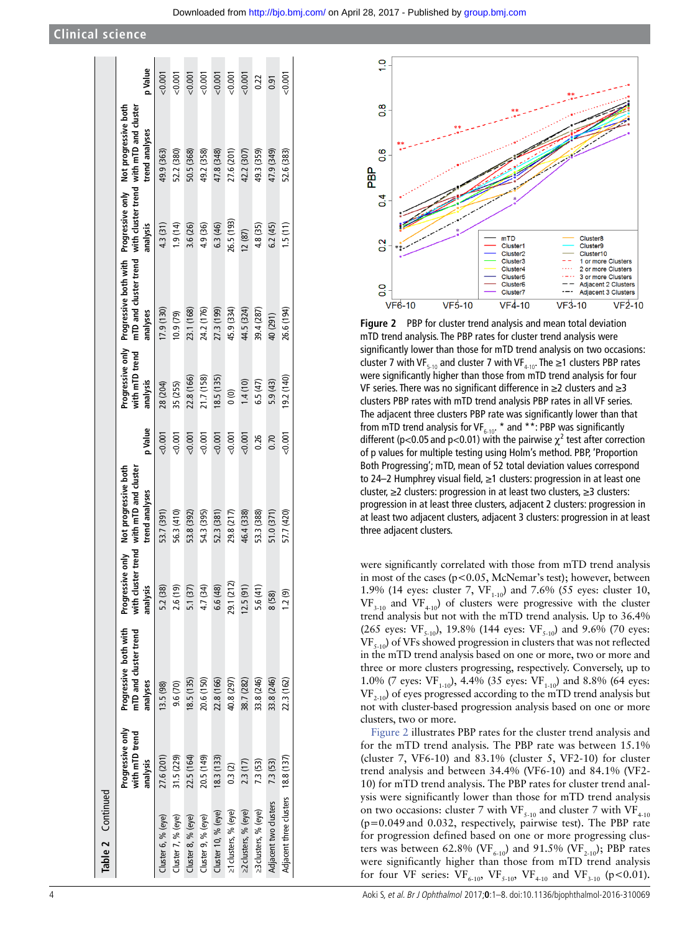| Table 2 Continued                  |                                                |                                                            |            |                                                                                                    |         |                            |                                                                                                                   |            |                                                           |         |
|------------------------------------|------------------------------------------------|------------------------------------------------------------|------------|----------------------------------------------------------------------------------------------------|---------|----------------------------|-------------------------------------------------------------------------------------------------------------------|------------|-----------------------------------------------------------|---------|
|                                    | Progressive only<br>with mTD trend<br>analysis | Progressive both with<br>mTD and cluster trend<br>analyses | analysis   | Progressive only Not progressive both<br>with cluster trend with mTD and cluster<br>trend analyses | p Value | with mTD trend<br>analysis | Progressive only Progressive both with Progressive only Not progressive both<br>mTD and cluster trend<br>analyses | analysis   | with cluster trend with mTD and cluster<br>trend analyses | p Value |
| luster 6, % (eye)                  | 27.6 (201)                                     | 13.5 (98)                                                  | 5.2 (38)   | 53.7 (391)                                                                                         | 0.001   | 28 (204)                   | 17.9 (130)                                                                                                        | 4.3 (31)   | 49.9 (363)                                                | 0.001   |
| luster 7, % (eye)                  | 31.5 (229)                                     | 9.6(70)                                                    | 2.6(19)    | 56.3 (410)                                                                                         | 0.001   | 35 (255)                   | (62, 610)                                                                                                         | (1.9(14)   | 52.2 (380)                                                | 0.001   |
| Cluster 8, % (eye)                 | 22.5 (164)                                     | 18.5(135)                                                  | 5.1(37)    | 53.8 (392)                                                                                         | 0.001   | 22.8 (166)                 | 23.1 (168)                                                                                                        | 3.6 (26)   | 50.5 (368)                                                | 0.001   |
| Cluster 9, % (eye)                 | 20.5 (149)                                     | 20.6 (150)                                                 | 4.7 (34)   | 54.3 (395)                                                                                         | 0.001   | 21.7 (158)                 | 24.2 (176)                                                                                                        | 4.9 (36)   | 49.2 (358)                                                | 0.001   |
| Cluster 10, % (eye)                | 18.3(133)                                      | 22.8 (166)                                                 | 6.6 (48)   | 52.3 (381)                                                                                         | < 0.001 | 18.5(135)                  | 27.3 (199)                                                                                                        | 6.3 (46)   | 47.8 (348)                                                | 0.001   |
| e1 clusters, % (eye)               | 0.3(2)                                         | 40.8 (297)                                                 | 29.1 (212) | 29.8 (217)                                                                                         | 0.001   | $\widehat{0}$              | 45.9 (334)                                                                                                        | 26.5 (193) | 27.6 (201)                                                | 0.001   |
| 22 clusters, % (eye)               | 2.3(17)                                        | 38.7 (282)                                                 | 12.5(91)   | 46.4 (338)                                                                                         | < 0.001 | 1.4(10)                    | 44.5 (324)                                                                                                        | 12(87)     | 42.2 (307)                                                | 0.001   |
| 23 clusters, % (eye)               | 73 (53)                                        | 33.8 (246)                                                 | 5.6(41)    | 53.3 (388)                                                                                         | 0.26    | 6.5(47)                    | 39.4 (287)                                                                                                        | 4.8 (35)   | 49.3 (359)                                                | 0.22    |
| Adjacent two clusters              | 7.3 (53)                                       | 33.8 (246)                                                 | 8 (58)     | 51.0(371)                                                                                          | 0.70    | 5.9(43)                    | 40 (291)                                                                                                          | 6.2(45)    | 47.9 (349)                                                | 0.91    |
| Adjacent three clusters 18.8 (137) |                                                | 22.3 (162)                                                 | 1.2(9)     | 57.7 (420)                                                                                         | 0.001   | 19.2 (140)                 | 26.6 (194)                                                                                                        | 1.5(11)    | 52.6 (383)                                                | 0.001   |
|                                    |                                                |                                                            |            |                                                                                                    |         |                            |                                                                                                                   |            |                                                           |         |



<span id="page-3-0"></span>**Figure 2** PBP for cluster trend analysis and mean total deviation mTD trend analysis. The PBP rates for cluster trend analysis were significantly lower than those for mTD trend analysis on two occasions: cluster 7 with VF<sub>5-10</sub> and cluster 7 with VF<sub>4-10</sub>. The  $\geq$ 1 clusters PBP rates were significantly higher than those from mTD trend analysis for four VF series. There was no significant difference in ≥2 clusters and ≥3 clusters PBP rates with mTD trend analysis PBP rates in all VF series. The adjacent three clusters PBP rate was significantly lower than that from mTD trend analysis for VF<sub>6-10</sub>. \* and \*\*: PBP was significantly different (p<0.05 and p<0.01) with the pairwise  $\chi^2$  test after correction of p values for multiple testing using Holm's method. PBP, 'Proportion Both Progressing'; mTD, mean of 52 total deviation values correspond to 24–2 Humphrey visual field, ≥1 clusters: progression in at least one cluster, ≥2 clusters: progression in at least two clusters, ≥3 clusters: progression in at least three clusters, adjacent 2 clusters: progression in at least two adjacent clusters, adjacent 3 clusters: progression in at least three adjacent clusters.

were significantly correlated with those from mTD trend analysis in most of the cases (p<0.05, McNemar's test); however, between 1.9% (14 eyes: cluster 7,  $VF_{1-10}$ ) and 7.6% (55 eyes: cluster 10,  $VF_{3-10}$  and  $VF_{4-10}$ ) of clusters were progressive with the cluster trend analysis but not with the mTD trend analysis. Up to 36.4% (265 eyes:  $VF_{5-10}$ ), 19.8% (144 eyes:  $VF_{5-10}$ ) and 9.6% (70 eyes:  $VF_{5-10}$ ) of VFs showed progression in clusters that was not reflected in the mTD trend analysis based on one or more, two or more and three or more clusters progressing, respectively. Conversely, up to 1.0% (7 eyes:  $VF_{1-10}$ ), 4.4% (35 eyes:  $VF_{1-10}$ ) and 8.8% (64 eyes:  $VF_{2-10}$ ) of eyes progressed according to the mTD trend analysis but not with cluster-based progression analysis based on one or more clusters, two or more.

[Figure](#page-3-0) 2 illustrates PBP rates for the cluster trend analysis and for the mTD trend analysis. The PBP rate was between 15.1% (cluster 7, VF6-10) and 83.1% (cluster 5, VF2-10) for cluster trend analysis and between 34.4% (VF6-10) and 84.1% (VF2- 10) for mTD trend analysis. The PBP rates for cluster trend analysis were significantly lower than those for mTD trend analysis on two occasions: cluster 7 with VF<sub>5-10</sub> and cluster 7 with VF<sub>4-10</sub> (p=0.049and 0.032, respectively, pairwise test). The PBP rate for progression defined based on one or more progressing clusters was between 62.8% (VF<sub>6-10</sub>) and 91.5% (VF<sub>2-10</sub>); PBP rates were significantly higher than those from mTD trend analysis for four VF series:  $VF_{6-10}$ ,  $VF_{5-10}$ ,  $VF_{4-10}$  and  $VF_{3-10}$  (p<0.01).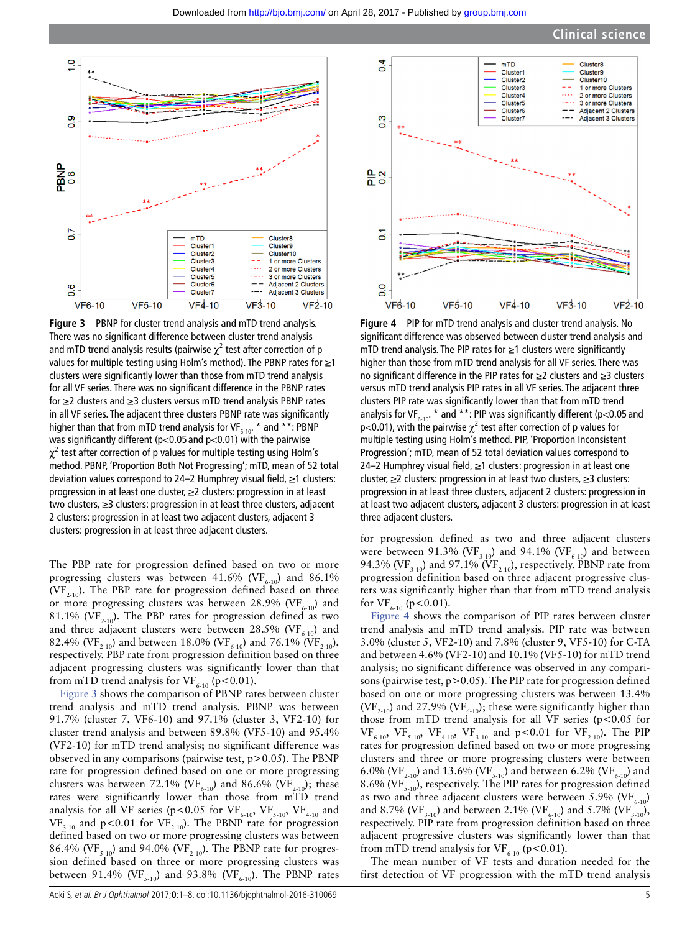

<span id="page-4-0"></span>**Figure 3** PBNP for cluster trend analysis and mTD trend analysis. There was no significant difference between cluster trend analysis and mTD trend analysis results (pairwise  $\chi^2$  test after correction of p values for multiple testing using Holm's method). The PBNP rates for ≥1 clusters were significantly lower than those from mTD trend analysis for all VF series. There was no significant difference in the PBNP rates for ≥2 clusters and ≥3 clusters versus mTD trend analysis PBNP rates in all VF series. The adjacent three clusters PBNP rate was significantly higher than that from mTD trend analysis for VF $_{6-10}$ . \* and \*\*: PBNP was significantly different ( $p<0.05$  and  $p<0.01$ ) with the pairwise  $\chi^2$  test after correction of p values for multiple testing using Holm's method. PBNP, 'Proportion Both Not Progressing'; mTD, mean of 52 total deviation values correspond to 24–2 Humphrey visual field, ≥1 clusters: progression in at least one cluster, ≥2 clusters: progression in at least two clusters, ≥3 clusters: progression in at least three clusters, adjacent 2 clusters: progression in at least two adjacent clusters, adjacent 3 clusters: progression in at least three adjacent clusters.

The PBP rate for progression defined based on two or more progressing clusters was between 41.6% (VF $_{6-10}$ ) and 86.1% (VF<sub>2-10</sub>). The PBP rate for progression defined based on three or more progressing clusters was between 28.9% (VF $_{6-10}$ ) and 81.1% (VF<sub>2-10</sub>). The PBP rates for progression defined as two and three adjacent clusters were between 28.5% (VF $_{6-10}$ ) and 82.4% (VF<sub>2-10</sub>) and between 18.0% (VF<sub>6-10</sub>) and 76.1% (VF<sub>2-10</sub>), respectively. PBP rate from progression definition based on three adjacent progressing clusters was significantly lower than that from mTD trend analysis for VF $_{6-10}$  (p<0.01).

[Figure](#page-4-0) 3 shows the comparison of PBNP rates between cluster trend analysis and mTD trend analysis. PBNP was between 91.7% (cluster 7, VF6-10) and 97.1% (cluster 3, VF2-10) for cluster trend analysis and between 89.8% (VF5-10) and 95.4% (VF2-10) for mTD trend analysis; no significant difference was observed in any comparisons (pairwise test, p>0.05). The PBNP rate for progression defined based on one or more progressing clusters was between 72.1% (VF<sub>6-10</sub>) and 86.6% (VF<sub>2-10</sub>); these rates were significantly lower than those from mTD trend analysis for all VF series (p<0.05 for  $VF_{6-10}$ ,  $VF_{5-10}$ ,  $VF_{4-10}$  and  $VF_{3-10}$  and p<0.01 for  $VF_{2-10}$ ). The PBNP rate for progression defined based on two or more progressing clusters was between 86.4% (VF<sub>5-10</sub>) and 94.0% (VF<sub>2-10</sub>). The PBNP rate for progression defined based on three or more progressing clusters was between 91.4% (VF<sub>5-10</sub>) and 93.8% (VF<sub>6-10</sub>). The PBNP rates



<span id="page-4-1"></span>**Figure 4** PIP for mTD trend analysis and cluster trend analysis. No significant difference was observed between cluster trend analysis and mTD trend analysis. The PIP rates for ≥1 clusters were significantly higher than those from mTD trend analysis for all VF series. There was no significant difference in the PIP rates for ≥2 clusters and ≥3 clusters versus mTD trend analysis PIP rates in all VF series. The adjacent three clusters PIP rate was significantly lower than that from mTD trend analysis for VF<sub>6-10</sub>. \* and \*\*: PIP was significantly different (p<0.05 and p<0.01), with the pairwise  $\chi^2$  test after correction of p values for multiple testing using Holm's method. PIP, 'Proportion Inconsistent Progression'; mTD, mean of 52 total deviation values correspond to 24–2 Humphrey visual field, ≥1 clusters: progression in at least one cluster, ≥2 clusters: progression in at least two clusters, ≥3 clusters: progression in at least three clusters, adjacent 2 clusters: progression in at least two adjacent clusters, adjacent 3 clusters: progression in at least three adjacent clusters.

for progression defined as two and three adjacent clusters were between 91.3% (VF<sub>3-10</sub>) and 94.1% (VF<sub>6-10</sub>) and between 94.3% (VF<sub>3-10</sub>) and 97.1% (VF<sub>2-10</sub>), respectively. PBNP rate from progression definition based on three adjacent progressive clusters was significantly higher than that from mTD trend analysis for  $VF_{6-10}$  (p<0.01).

[Figure](#page-4-1) 4 shows the comparison of PIP rates between cluster trend analysis and mTD trend analysis. PIP rate was between 3.0% (cluster 5, VF2-10) and 7.8% (cluster 9, VF5-10) for C-TA and between 4.6% (VF2-10) and 10.1% (VF5-10) for mTD trend analysis; no significant difference was observed in any comparisons (pairwise test, p>0.05). The PIP rate for progression defined based on one or more progressing clusters was between 13.4% (VF<sub>2-10</sub>) and 27.9% (VF<sub>6-10</sub>); these were significantly higher than those from mTD trend analysis for all VF series ( $p$ <0.05 for  $VF_{6-10}$ ,  $VF_{5-10}$ ,  $VF_{4-10}$ ,  $VF_{3-10}$  and  $p < 0.01$  for  $VF_{2-10}$ ). The PIP rates for progression defined based on two or more progressing clusters and three or more progressing clusters were between 6.0% (VF<sub>2-10</sub>) and 13.6% (VF<sub>5-10</sub>) and between 6.2% (VF<sub>6-10</sub>) and 8.6% (VF $_{5-10}$ ), respectively. The PIP rates for progression defined as two and three adjacent clusters were between 5.9% (VF $_{6-10}$ ) and 8.7% (VF<sub>3-10</sub>) and between 2.1% (VF<sub>6-10</sub>) and 5.7% (VF<sub>3-10</sub>), respectively. PIP rate from progression definition based on three adjacent progressive clusters was significantly lower than that from mTD trend analysis for VF<sub>6-10</sub> (p<0.01).

The mean number of VF tests and duration needed for the first detection of VF progression with the mTD trend analysis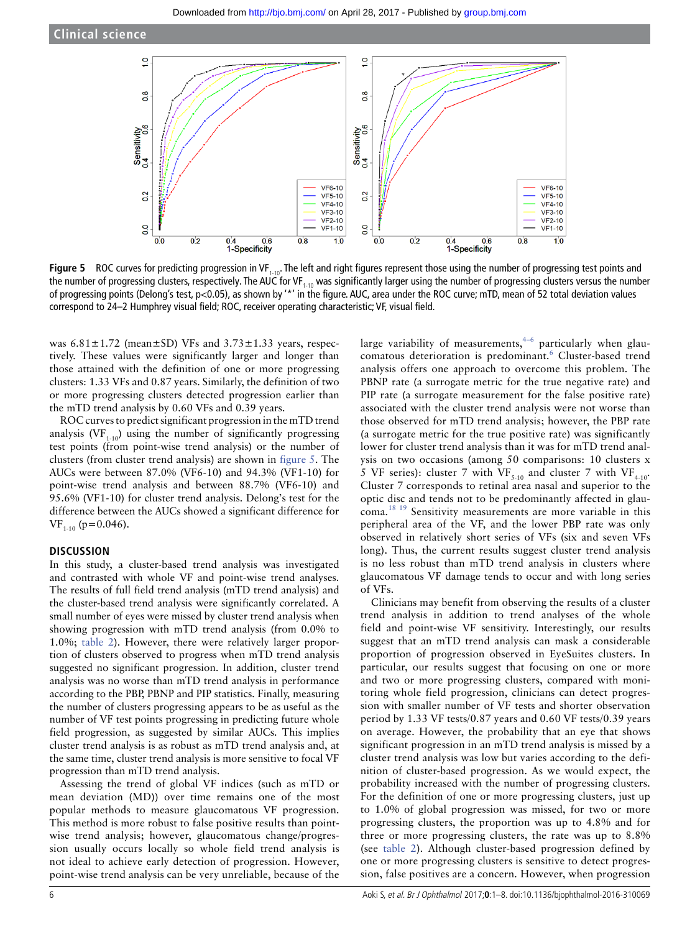**Clinical science**



<span id="page-5-0"></span>**Figure 5** ROC curves for predicting progression in VF<sub>1-10</sub>. The left and right figures represent those using the number of progressing test points and the number of progressing clusters, respectively. The AUC for VF<sub>1-10</sub> was significantly larger using the number of progressing clusters versus the number of progressing points (Delong's test, p<0.05), as shown by '\*' in the figure. AUC, area under the ROC curve; mTD, mean of 52 total deviation values correspond to 24–2 Humphrey visual field; ROC, receiver operating characteristic; VF, visual field.

was  $6.81 \pm 1.72$  (mean $\pm$ SD) VFs and  $3.73 \pm 1.33$  years, respectively. These values were significantly larger and longer than those attained with the definition of one or more progressing clusters: 1.33 VFs and 0.87 years. Similarly, the definition of two or more progressing clusters detected progression earlier than the mTD trend analysis by 0.60 VFs and 0.39 years.

ROC curves to predict significant progression in the mTD trend analysis (VF<sub>1-10</sub>) using the number of significantly progressing test points (from point-wise trend analysis) or the number of clusters (from cluster trend analysis) are shown in [figure](#page-5-0) 5. The AUCs were between 87.0% (VF6-10) and 94.3% (VF1-10) for point-wise trend analysis and between 88.7% (VF6-10) and 95.6% (VF1-10) for cluster trend analysis. Delong's test for the difference between the AUCs showed a significant difference for  $VF_{1-10}$  (p=0.046).

#### **DISCUSSION**

In this study, a cluster-based trend analysis was investigated and contrasted with whole VF and point-wise trend analyses. The results of full field trend analysis (mTD trend analysis) and the cluster-based trend analysis were significantly correlated. A small number of eyes were missed by cluster trend analysis when showing progression with mTD trend analysis (from 0.0% to 1.0%; [table](#page-2-0) 2). However, there were relatively larger proportion of clusters observed to progress when mTD trend analysis suggested no significant progression. In addition, cluster trend analysis was no worse than mTD trend analysis in performance according to the PBP, PBNP and PIP statistics. Finally, measuring the number of clusters progressing appears to be as useful as the number of VF test points progressing in predicting future whole field progression, as suggested by similar AUCs. This implies cluster trend analysis is as robust as mTD trend analysis and, at the same time, cluster trend analysis is more sensitive to focal VF progression than mTD trend analysis.

Assessing the trend of global VF indices (such as mTD or mean deviation (MD)) over time remains one of the most popular methods to measure glaucomatous VF progression. This method is more robust to false positive results than pointwise trend analysis; however, glaucomatous change/progression usually occurs locally so whole field trend analysis is not ideal to achieve early detection of progression. However, point-wise trend analysis can be very unreliable, because of the

large variability of measurements,  $4-6$  particularly when glau-comatous deterioration is predominant.<sup>[6](#page-6-4)</sup> Cluster-based trend analysis offers one approach to overcome this problem. The PBNP rate (a surrogate metric for the true negative rate) and PIP rate (a surrogate measurement for the false positive rate) associated with the cluster trend analysis were not worse than those observed for mTD trend analysis; however, the PBP rate (a surrogate metric for the true positive rate) was significantly lower for cluster trend analysis than it was for mTD trend analysis on two occasions (among 50 comparisons: 10 clusters x 5 VF series): cluster 7 with VF<sub>5-10</sub> and cluster 7 with VF<sub>4-10</sub>. Cluster 7 corresponds to retinal area nasal and superior to the optic disc and tends not to be predominantly affected in glaucoma.[18 19](#page-7-4) Sensitivity measurements are more variable in this peripheral area of the VF, and the lower PBP rate was only observed in relatively short series of VFs (six and seven VFs long). Thus, the current results suggest cluster trend analysis is no less robust than mTD trend analysis in clusters where glaucomatous VF damage tends to occur and with long series of VFs.

Clinicians may benefit from observing the results of a cluster trend analysis in addition to trend analyses of the whole field and point-wise VF sensitivity. Interestingly, our results suggest that an mTD trend analysis can mask a considerable proportion of progression observed in EyeSuites clusters. In particular, our results suggest that focusing on one or more and two or more progressing clusters, compared with monitoring whole field progression, clinicians can detect progression with smaller number of VF tests and shorter observation period by 1.33 VF tests/0.87 years and 0.60 VF tests/0.39 years on average. However, the probability that an eye that shows significant progression in an mTD trend analysis is missed by a cluster trend analysis was low but varies according to the definition of cluster-based progression. As we would expect, the probability increased with the number of progressing clusters. For the definition of one or more progressing clusters, just up to 1.0% of global progression was missed, for two or more progressing clusters, the proportion was up to 4.8% and for three or more progressing clusters, the rate was up to 8.8% (see [table](#page-2-0) 2). Although cluster-based progression defined by one or more progressing clusters is sensitive to detect progression, false positives are a concern. However, when progression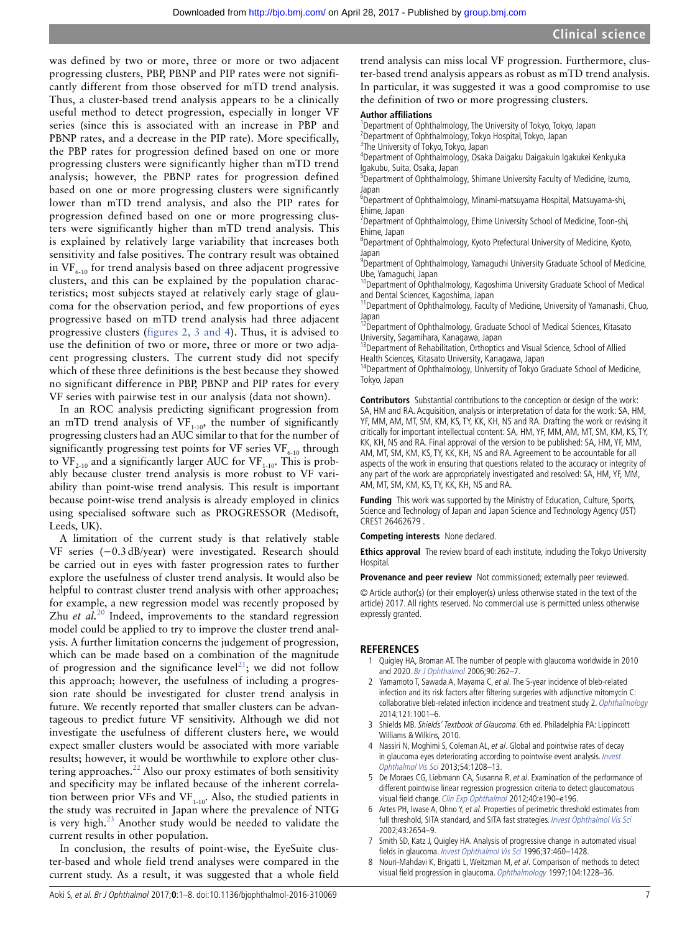was defined by two or more, three or more or two adjacent progressing clusters, PBP, PBNP and PIP rates were not significantly different from those observed for mTD trend analysis. Thus, a cluster-based trend analysis appears to be a clinically useful method to detect progression, especially in longer VF series (since this is associated with an increase in PBP and PBNP rates, and a decrease in the PIP rate). More specifically, the PBP rates for progression defined based on one or more progressing clusters were significantly higher than mTD trend analysis; however, the PBNP rates for progression defined based on one or more progressing clusters were significantly lower than mTD trend analysis, and also the PIP rates for progression defined based on one or more progressing clusters were significantly higher than mTD trend analysis. This is explained by relatively large variability that increases both sensitivity and false positives. The contrary result was obtained in  $VF_{6,10}$  for trend analysis based on three adjacent progressive clusters, and this can be explained by the population characteristics; most subjects stayed at relatively early stage of glaucoma for the observation period, and few proportions of eyes progressive based on mTD trend analysis had three adjacent progressive clusters (figures [2, 3 and 4](#page-3-0)). Thus, it is advised to use the definition of two or more, three or more or two adjacent progressing clusters. The current study did not specify which of these three definitions is the best because they showed no significant difference in PBP, PBNP and PIP rates for every VF series with pairwise test in our analysis (data not shown).

In an ROC analysis predicting significant progression from an mTD trend analysis of  $VF_{1-10}$ , the number of significantly progressing clusters had an AUC similar to that for the number of significantly progressing test points for VF series  $VF_{6-10}$  through to  $VF_{2,10}$  and a significantly larger AUC for  $VF_{1,10}$ . This is probably because cluster trend analysis is more robust to VF variability than point-wise trend analysis. This result is important because point-wise trend analysis is already employed in clinics using specialised software such as PROGRESSOR (Medisoft, Leeds, UK).

A limitation of the current study is that relatively stable VF series (−0.3dB/year) were investigated. Research should be carried out in eyes with faster progression rates to further explore the usefulness of cluster trend analysis. It would also be helpful to contrast cluster trend analysis with other approaches; for example, a new regression model was recently proposed by Zhu *et al.*<sup>[20](#page-7-5)</sup> Indeed, improvements to the standard regression model could be applied to try to improve the cluster trend analysis. A further limitation concerns the judgement of progression, which can be made based on a combination of the magnitude of progression and the significance level<sup>[21](#page-7-6)</sup>; we did not follow this approach; however, the usefulness of including a progression rate should be investigated for cluster trend analysis in future. We recently reported that smaller clusters can be advantageous to predict future VF sensitivity. Although we did not investigate the usefulness of different clusters here, we would expect smaller clusters would be associated with more variable results; however, it would be worthwhile to explore other clustering approaches. $^{22}$  Also our proxy estimates of both sensitivity and specificity may be inflated because of the inherent correlation between prior VFs and VF<sub>1-10</sub>. Also, the studied patients in the study was recruited in Japan where the prevalence of NTG is very high. $^{23}$  $^{23}$  $^{23}$  Another study would be needed to validate the current results in other population.

In conclusion, the results of point-wise, the EyeSuite cluster-based and whole field trend analyses were compared in the current study. As a result, it was suggested that a whole field trend analysis can miss local VF progression. Furthermore, cluster-based trend analysis appears as robust as mTD trend analysis. In particular, it was suggested it was a good compromise to use the definition of two or more progressing clusters.

#### **Author affiliations**

<sup>1</sup>Department of Ophthalmology, The University of Tokyo, Tokyo, Japan 2 Department of Ophthalmology, Tokyo Hospital, Tokyo, Japan <sup>3</sup>The University of Tokyo, Tokyo, Japan

4 Department of Ophthalmology, Osaka Daigaku Daigakuin Igakukei Kenkyuka Igakubu, Suita, Osaka, Japan

<sup>5</sup>Department of Ophthalmology, Shimane University Faculty of Medicine, Izumo, Japan

6 Department of Ophthalmology, Minami-matsuyama Hospital, Matsuyama-shi, Ehime, Japan

<sup>7</sup>Department of Ophthalmology, Ehime University School of Medicine, Toon-shi, Ehime, Japan

<sup>8</sup>Department of Ophthalmology, Kyoto Prefectural University of Medicine, Kyoto, Japan

<sup>9</sup>Department of Ophthalmology, Yamaguchi University Graduate School of Medicine, Ube, Yamaguchi, Japan

10Department of Ophthalmology, Kagoshima University Graduate School of Medical and Dental Sciences, Kagoshima, Japan

<sup>11</sup>Department of Ophthalmology, Faculty of Medicine, University of Yamanashi, Chuo, Japan

<sup>12</sup>Department of Ophthalmology, Graduate School of Medical Sciences, Kitasato University, Sagamihara, Kanagawa, Japan

<sup>13</sup> Department of Rehabilitation, Orthoptics and Visual Science, School of Allied Health Sciences, Kitasato University, Kanagawa, Japan

<sup>14</sup>Department of Ophthalmology, University of Tokyo Graduate School of Medicine, Tokyo, Japan

**Contributors** Substantial contributions to the conception or design of the work: SA, HM and RA. Acquisition, analysis or interpretation of data for the work: SA, HM, YF, MM, AM, MT, SM, KM, KS, TY, KK, KH, NS and RA. Drafting the work or revising it critically for important intellectual content: SA, HM, YF, MM, AM, MT, SM, KM, KS, TY, KK, KH, NS and RA. Final approval of the version to be published: SA, HM, YF, MM, AM, MT, SM, KM, KS, TY, KK, KH, NS and RA. Agreement to be accountable for all aspects of the work in ensuring that questions related to the accuracy or integrity of any part of the work are appropriately investigated and resolved: SA, HM, YF, MM, AM, MT, SM, KM, KS, TY, KK, KH, NS and RA.

**Funding** This work was supported by the Ministry of Education, Culture, Sports, Science and Technology of Japan and Japan Science and Technology Agency (JST) CREST 26462679 .

**Competing interests** None declared.

**Ethics approval** The review board of each institute, including the Tokyo University **Hospital** 

**Provenance and peer review** Not commissioned; externally peer reviewed.

© Article author(s) (or their employer(s) unless otherwise stated in the text of the article) 2017. All rights reserved. No commercial use is permitted unless otherwise expressly granted.

#### **REFERENCES**

- <span id="page-6-0"></span>1 Quigley HA, Broman AT. The number of people with glaucoma worldwide in 2010 and 2020. [Br J Ophthalmol](http://dx.doi.org/10.1136/bjo.2005.081224) 2006;90:262–7.
- <span id="page-6-1"></span>2 Yamamoto T, Sawada A, Mayama C, et al. The 5-year incidence of bleb-related infection and its risk factors after filtering surgeries with adjunctive mitomycin C: collaborative bleb-related infection incidence and treatment study 2. [Ophthalmology](http://dx.doi.org/10.1016/j.ophtha.2013.11.025) 2014;121:1001–6.
- 3 Shields MB. Shields' Textbook of Glaucoma. 6th ed. Philadelphia PA: Lippincott Williams & Wilkins, 2010.
- <span id="page-6-2"></span>4 Nassiri N, Moghimi S, Coleman AL, et al. Global and pointwise rates of decay in glaucoma eyes deteriorating according to pointwise event analysis. Invest [Ophthalmol Vis Sci](http://dx.doi.org/10.1167/iovs.12-10833) 2013;54:1208–13.
- De Moraes CG, Liebmann CA, Susanna R, et al. Examination of the performance of different pointwise linear regression progression criteria to detect glaucomatous visual field change. [Clin Exp Ophthalmol](http://dx.doi.org/10.1111/j.1442-9071.2011.02680.x) 2012;40:e190–e196.
- <span id="page-6-4"></span>6 Artes PH, Iwase A, Ohno Y, et al. Properties of perimetric threshold estimates from full threshold, SITA standard, and SITA fast strategies. Invest Ophthalmol Vis Sci 2002;43:2654–9.
- <span id="page-6-3"></span>7 Smith SD, Katz J, Quigley HA. Analysis of progressive change in automated visual fields in glaucoma. [Invest Ophthalmol Vis Sci](http://dx.doi.org/10.1016/S0002-9394(14)72089-6) 1996;37:460–1428.
- 8 Nouri-Mahdavi K, Brigatti L, Weitzman M, et al. Comparison of methods to detect visual field progression in glaucoma. [Ophthalmology](http://dx.doi.org/10.1016/S0161-6420(97)30153-5) 1997;104:1228-36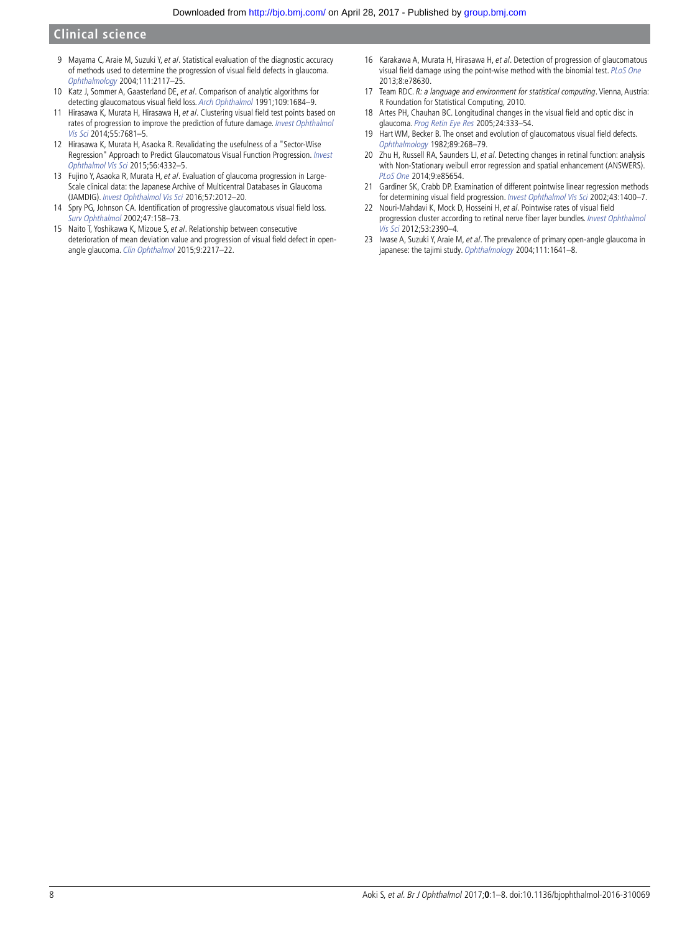## **Clinical science**

- 9 Mayama C, Araie M, Suzuki Y, et al. Statistical evaluation of the diagnostic accuracy of methods used to determine the progression of visual field defects in glaucoma. [Ophthalmology](http://dx.doi.org/10.1016/j.ophtha.2004.06.025) 2004;111:2117–25.
- 10 Katz J, Sommer A, Gaasterland DE, et al. Comparison of analytic algorithms for detecting glaucomatous visual field loss. [Arch Ophthalmol](http://dx.doi.org/10.1001/archopht.1991.01080120068028) 1991;109:1684–9.
- <span id="page-7-0"></span>11 Hirasawa K, Murata H, Hirasawa H, et al. Clustering visual field test points based on rates of progression to improve the prediction of future damage. [Invest Ophthalmol](http://dx.doi.org/10.1167/iovs.14-15040)  [Vis Sci](http://dx.doi.org/10.1167/iovs.14-15040) 2014;55:7681–5.
- 12 Hirasawa K, Murata H, Asaoka R. Revalidating the usefulness of a "Sector-Wise Regression" Approach to Predict Glaucomatous Visual Function Progression. [Invest](http://dx.doi.org/10.1167/iovs.15-16694)  [Ophthalmol Vis Sci](http://dx.doi.org/10.1167/iovs.15-16694) 2015;56:4332–5.
- <span id="page-7-1"></span>13 Fujino Y, Asaoka R, Murata H, et al. Evaluation of glaucoma progression in Large-Scale clinical data: the Japanese Archive of Multicentral Databases in Glaucoma (JAMDIG). [Invest Ophthalmol Vis Sci](http://dx.doi.org/10.1167/iovs.15-19046) 2016;57:2012–20.
- 14 Spry PG, Johnson CA. Identification of progressive glaucomatous visual field loss. [Surv Ophthalmol](http://dx.doi.org/10.1016/S0039-6257(01)00299-5) 2002;47:158–73.
- 15 Naito T, Yoshikawa K, Mizoue S, et al. Relationship between consecutive deterioration of mean deviation value and progression of visual field defect in openangle glaucoma. [Clin Ophthalmol](http://dx.doi.org/10.2147/OPTH.S94497) 2015;9:2217–22.
- <span id="page-7-2"></span>16 Karakawa A, Murata H, Hirasawa H, et al. Detection of progression of glaucomatous visual field damage using the point-wise method with the binomial test. [PLoS One](http://dx.doi.org/10.1371/journal.pone.0078630) 2013;8:e78630.
- <span id="page-7-3"></span>17 Team RDC. R: a language and environment for statistical computing. Vienna, Austria: R Foundation for Statistical Computing, 2010.
- <span id="page-7-4"></span>18 Artes PH, Chauhan BC. Longitudinal changes in the visual field and optic disc in glaucoma. [Prog Retin Eye Res](http://dx.doi.org/10.1016/j.preteyeres.2004.10.002) 2005;24:333–54.
- 19 Hart WM, Becker B. The onset and evolution of glaucomatous visual field defects. [Ophthalmology](http://dx.doi.org/10.1016/S0161-6420(82)34798-3) 1982;89:268–79.
- <span id="page-7-5"></span>20 Zhu H, Russell RA, Saunders LJ, et al. Detecting changes in retinal function: analysis with Non-Stationary weibull error regression and spatial enhancement (ANSWERS). [PLoS One](http://dx.doi.org/10.1371/journal.pone.0085654) 2014;9:e85654.
- <span id="page-7-6"></span>21 Gardiner SK, Crabb DP. Examination of different pointwise linear regression methods for determining visual field progression. Invest Ophthalmol Vis Sci 2002;43:1400–7.
- <span id="page-7-7"></span>22 Nouri-Mahdavi K, Mock D, Hosseini H, et al. Pointwise rates of visual field progression cluster according to retinal nerve fiber layer bundles. [Invest Ophthalmol](http://dx.doi.org/10.1167/iovs.11-9021)  [Vis Sci](http://dx.doi.org/10.1167/iovs.11-9021) 2012;53:2390–4.
- <span id="page-7-8"></span>23 Iwase A, Suzuki Y, Araie M, et al. The prevalence of primary open-angle glaucoma in japanese: the tajimi study. [Ophthalmology](http://dx.doi.org/10.1016/S0161-6420(04)00665-7) 2004;111:1641-8.